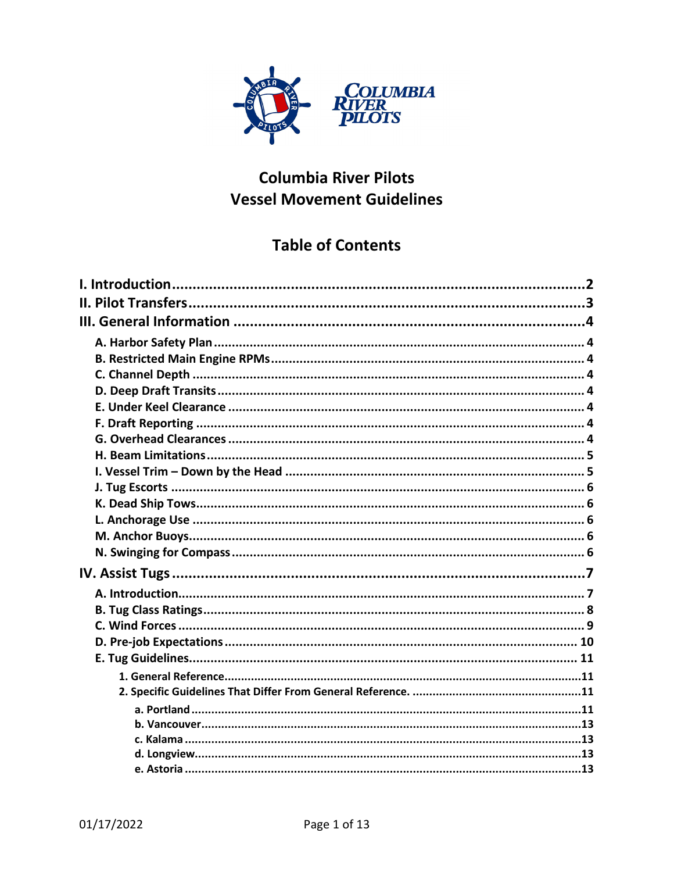

# **Columbia River Pilots Vessel Movement Guidelines**

# **Table of Contents**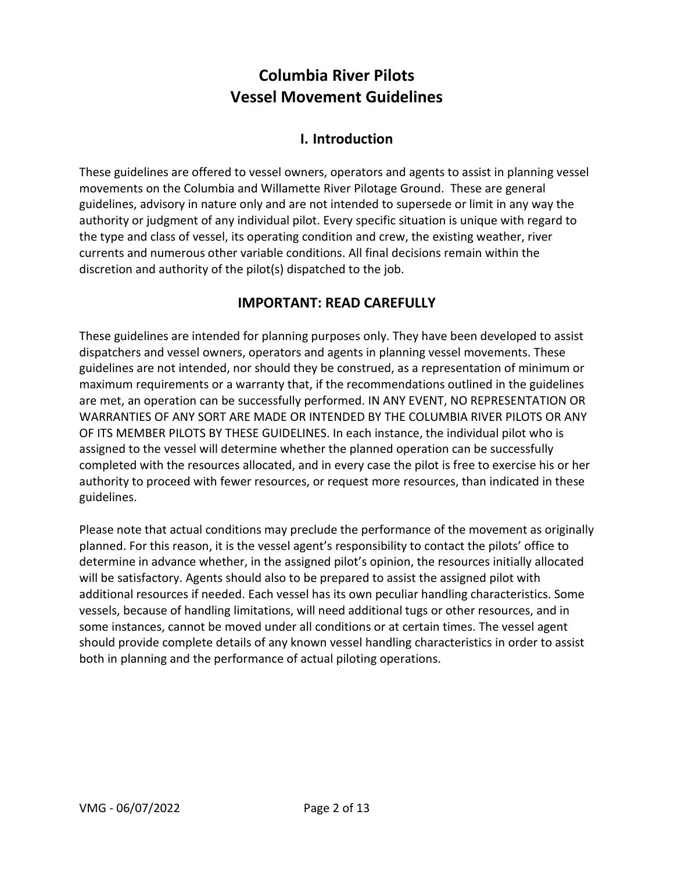# **Columbia River Pilots Vessel Movement Guidelines**

# **I. Introduction**

<span id="page-1-0"></span>These guidelines are offered to vessel owners, operators and agents to assist in planning vessel movements on the Columbia and Willamette River Pilotage Ground. These are general guidelines, advisory in nature only and are not intended to supersede or limit in any way the authority or judgment of any individual pilot. Every specific situation is unique with regard to the type and class of vessel, its operating condition and crew, the existing weather, river currents and numerous other variable conditions. All final decisions remain within the discretion and authority of the pilot(s) dispatched to the job.

# **IMPORTANT: READ CAREFULLY**

These guidelines are intended for planning purposes only. They have been developed to assist dispatchers and vessel owners, operators and agents in planning vessel movements. These guidelines are not intended, nor should they be construed, as a representation of minimum or maximum requirements or a warranty that, if the recommendations outlined in the guidelines are met, an operation can be successfully performed. IN ANY EVENT, NO REPRESENTATION OR WARRANTIES OF ANY SORT ARE MADE OR INTENDED BY THE COLUMBIA RIVER PILOTS OR ANY OF ITS MEMBER PILOTS BY THESE GUIDELINES. In each instance, the individual pilot who is assigned to the vessel will determine whether the planned operation can be successfully completed with the resources allocated, and in every case the pilot is free to exercise his or her authority to proceed with fewer resources, or request more resources, than indicated in these guidelines.

Please note that actual conditions may preclude the performance of the movement as originally planned. For this reason, it is the vessel agent's responsibility to contact the pilots' office to determine in advance whether, in the assigned pilot's opinion, the resources initially allocated will be satisfactory. Agents should also to be prepared to assist the assigned pilot with additional resources if needed. Each vessel has its own peculiar handling characteristics. Some vessels, because of handling limitations, will need additional tugs or other resources, and in some instances, cannot be moved under all conditions or at certain times. The vessel agent should provide complete details of any known vessel handling characteristics in order to assist both in planning and the performance of actual piloting operations.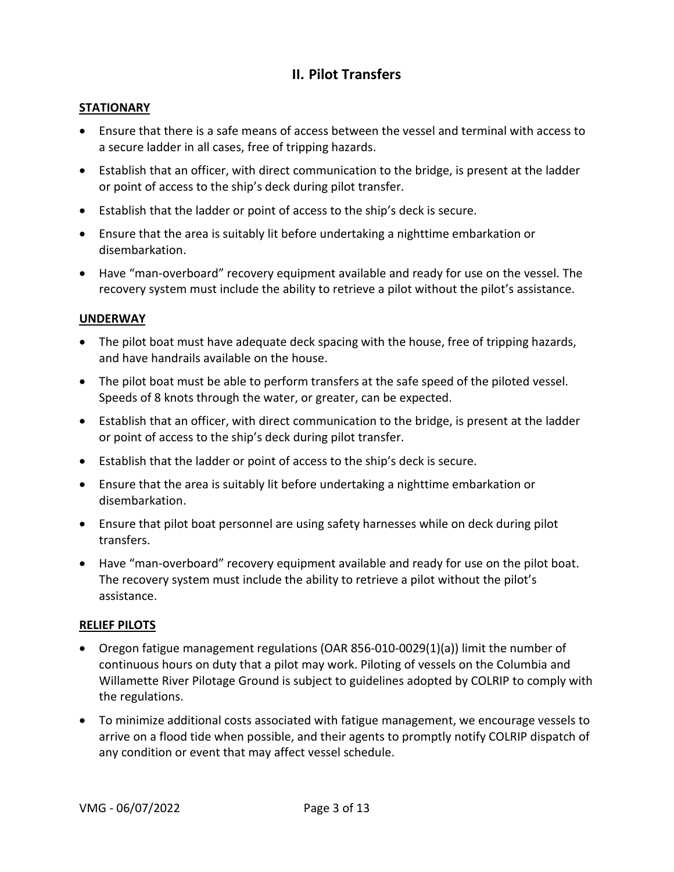# **II. Pilot Transfers**

# <span id="page-2-0"></span>**STATIONARY**

- Ensure that there is a safe means of access between the vessel and terminal with access to a secure ladder in all cases, free of tripping hazards.
- Establish that an officer, with direct communication to the bridge, is present at the ladder or point of access to the ship's deck during pilot transfer.
- Establish that the ladder or point of access to the ship's deck is secure.
- Ensure that the area is suitably lit before undertaking a nighttime embarkation or disembarkation.
- Have "man-overboard" recovery equipment available and ready for use on the vessel. The recovery system must include the ability to retrieve a pilot without the pilot's assistance.

# **UNDERWAY**

- The pilot boat must have adequate deck spacing with the house, free of tripping hazards, and have handrails available on the house.
- The pilot boat must be able to perform transfers at the safe speed of the piloted vessel. Speeds of 8 knots through the water, or greater, can be expected.
- Establish that an officer, with direct communication to the bridge, is present at the ladder or point of access to the ship's deck during pilot transfer.
- Establish that the ladder or point of access to the ship's deck is secure.
- Ensure that the area is suitably lit before undertaking a nighttime embarkation or disembarkation.
- Ensure that pilot boat personnel are using safety harnesses while on deck during pilot transfers.
- Have "man-overboard" recovery equipment available and ready for use on the pilot boat. The recovery system must include the ability to retrieve a pilot without the pilot's assistance.

#### **RELIEF PILOTS**

- Oregon fatigue management regulations (OAR 856-010-0029(1)(a)) limit the number of continuous hours on duty that a pilot may work. Piloting of vessels on the Columbia and Willamette River Pilotage Ground is subject to guidelines adopted by COLRIP to comply with the regulations.
- To minimize additional costs associated with fatigue management, we encourage vessels to arrive on a flood tide when possible, and their agents to promptly notify COLRIP dispatch of any condition or event that may affect vessel schedule.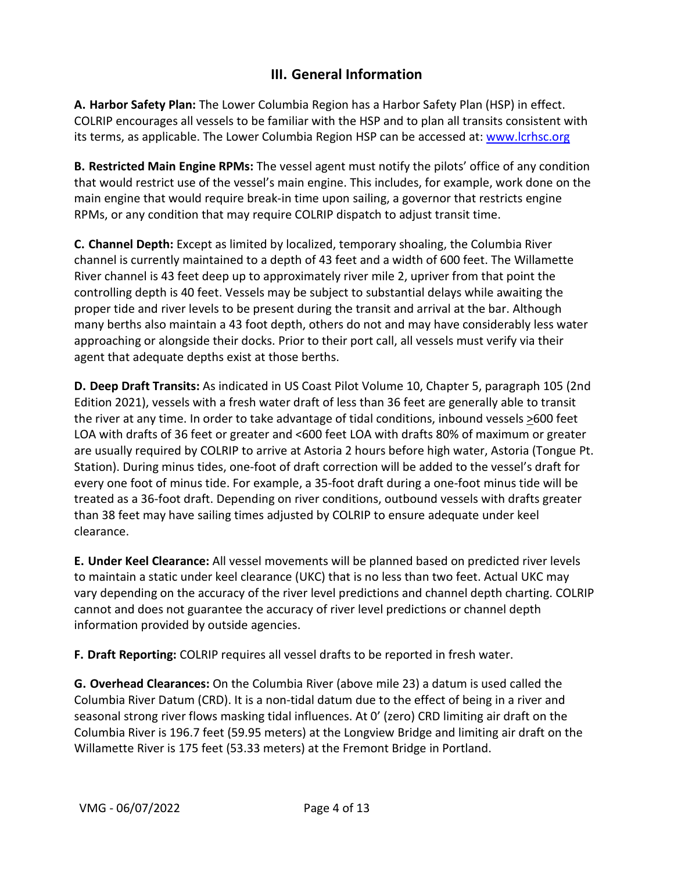# **III. General Information**

<span id="page-3-1"></span><span id="page-3-0"></span>**A. Harbor Safety Plan:** The Lower Columbia Region has a Harbor Safety Plan (HSP) in effect. COLRIP encourages all vessels to be familiar with the HSP and to plan all transits consistent with its terms, as applicable. The Lower Columbia Region HSP can be accessed at: [www.lcrhsc.org](http://www.lcrhsc.org/)

<span id="page-3-2"></span>**B. Restricted Main Engine RPMs:** The vessel agent must notify the pilots' office of any condition that would restrict use of the vessel's main engine. This includes, for example, work done on the main engine that would require break-in time upon sailing, a governor that restricts engine RPMs, or any condition that may require COLRIP dispatch to adjust transit time.

<span id="page-3-3"></span>**C. Channel Depth:** Except as limited by localized, temporary shoaling, the Columbia River channel is currently maintained to a depth of 43 feet and a width of 600 feet. The Willamette River channel is 43 feet deep up to approximately river mile 2, upriver from that point the controlling depth is 40 feet. Vessels may be subject to substantial delays while awaiting the proper tide and river levels to be present during the transit and arrival at the bar. Although many berths also maintain a 43 foot depth, others do not and may have considerably less water approaching or alongside their docks. Prior to their port call, all vessels must verify via their agent that adequate depths exist at those berths.

<span id="page-3-4"></span>**D. Deep Draft Transits:** As indicated in US Coast Pilot Volume 10, Chapter 5, paragraph 105 (2nd Edition 2021), vessels with a fresh water draft of less than 36 feet are generally able to transit the river at any time. In order to take advantage of tidal conditions, inbound vessels >600 feet LOA with drafts of 36 feet or greater and <600 feet LOA with drafts 80% of maximum or greater are usually required by COLRIP to arrive at Astoria 2 hours before high water, Astoria (Tongue Pt. Station). During minus tides, one-foot of draft correction will be added to the vessel's draft for every one foot of minus tide. For example, a 35-foot draft during a one-foot minus tide will be treated as a 36-foot draft. Depending on river conditions, outbound vessels with drafts greater than 38 feet may have sailing times adjusted by COLRIP to ensure adequate under keel clearance.

<span id="page-3-5"></span>**E. Under Keel Clearance:** All vessel movements will be planned based on predicted river levels to maintain a static under keel clearance (UKC) that is no less than two feet. Actual UKC may vary depending on the accuracy of the river level predictions and channel depth charting. COLRIP cannot and does not guarantee the accuracy of river level predictions or channel depth information provided by outside agencies.

<span id="page-3-6"></span>**F. Draft Reporting:** COLRIP requires all vessel drafts to be reported in fresh water.

<span id="page-3-7"></span>**G. Overhead Clearances:** On the Columbia River (above mile 23) a datum is used called the Columbia River Datum (CRD). It is a non-tidal datum due to the effect of being in a river and seasonal strong river flows masking tidal influences. At 0' (zero) CRD limiting air draft on the Columbia River is 196.7 feet (59.95 meters) at the Longview Bridge and limiting air draft on the Willamette River is 175 feet (53.33 meters) at the Fremont Bridge in Portland.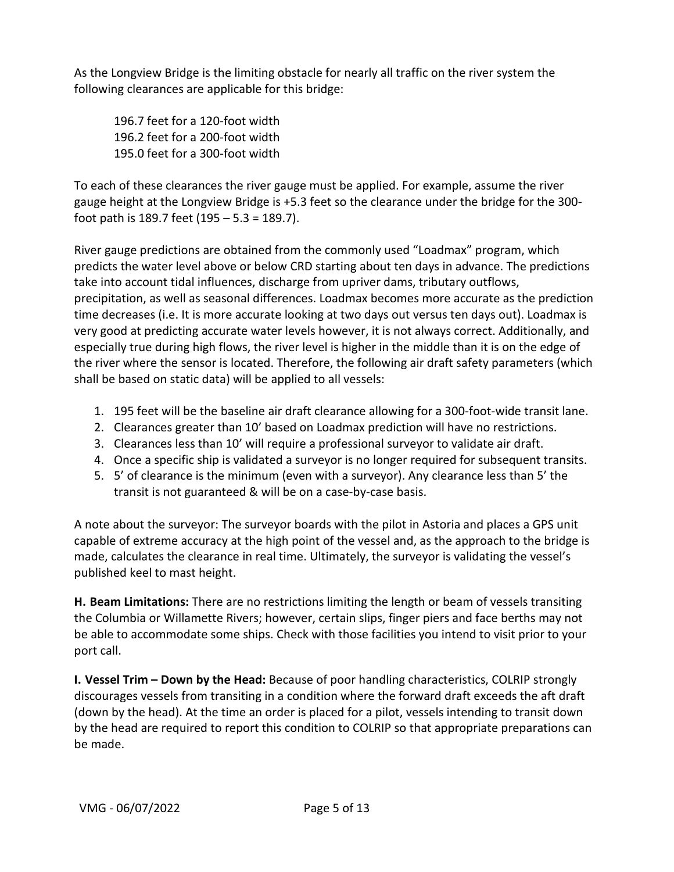As the Longview Bridge is the limiting obstacle for nearly all traffic on the river system the following clearances are applicable for this bridge:

196.7 feet for a 120-foot width 196.2 feet for a 200-foot width 195.0 feet for a 300-foot width

To each of these clearances the river gauge must be applied. For example, assume the river gauge height at the Longview Bridge is +5.3 feet so the clearance under the bridge for the 300 foot path is 189.7 feet (195 – 5.3 = 189.7).

River gauge predictions are obtained from the commonly used "Loadmax" program, which predicts the water level above or below CRD starting about ten days in advance. The predictions take into account tidal influences, discharge from upriver dams, tributary outflows, precipitation, as well as seasonal differences. Loadmax becomes more accurate as the prediction time decreases (i.e. It is more accurate looking at two days out versus ten days out). Loadmax is very good at predicting accurate water levels however, it is not always correct. Additionally, and especially true during high flows, the river level is higher in the middle than it is on the edge of the river where the sensor is located. Therefore, the following air draft safety parameters (which shall be based on static data) will be applied to all vessels:

- 1. 195 feet will be the baseline air draft clearance allowing for a 300-foot-wide transit lane.
- 2. Clearances greater than 10' based on Loadmax prediction will have no restrictions.
- 3. Clearances less than 10' will require a professional surveyor to validate air draft.
- 4. Once a specific ship is validated a surveyor is no longer required for subsequent transits.
- 5. 5' of clearance is the minimum (even with a surveyor). Any clearance less than 5' the transit is not guaranteed & will be on a case-by-case basis.

A note about the surveyor: The surveyor boards with the pilot in Astoria and places a GPS unit capable of extreme accuracy at the high point of the vessel and, as the approach to the bridge is made, calculates the clearance in real time. Ultimately, the surveyor is validating the vessel's published keel to mast height.

<span id="page-4-0"></span>**H. Beam Limitations:** There are no restrictions limiting the length or beam of vessels transiting the Columbia or Willamette Rivers; however, certain slips, finger piers and face berths may not be able to accommodate some ships. Check with those facilities you intend to visit prior to your port call.

<span id="page-4-1"></span>**I. Vessel Trim – Down by the Head:** Because of poor handling characteristics, COLRIP strongly discourages vessels from transiting in a condition where the forward draft exceeds the aft draft (down by the head). At the time an order is placed for a pilot, vessels intending to transit down by the head are required to report this condition to COLRIP so that appropriate preparations can be made.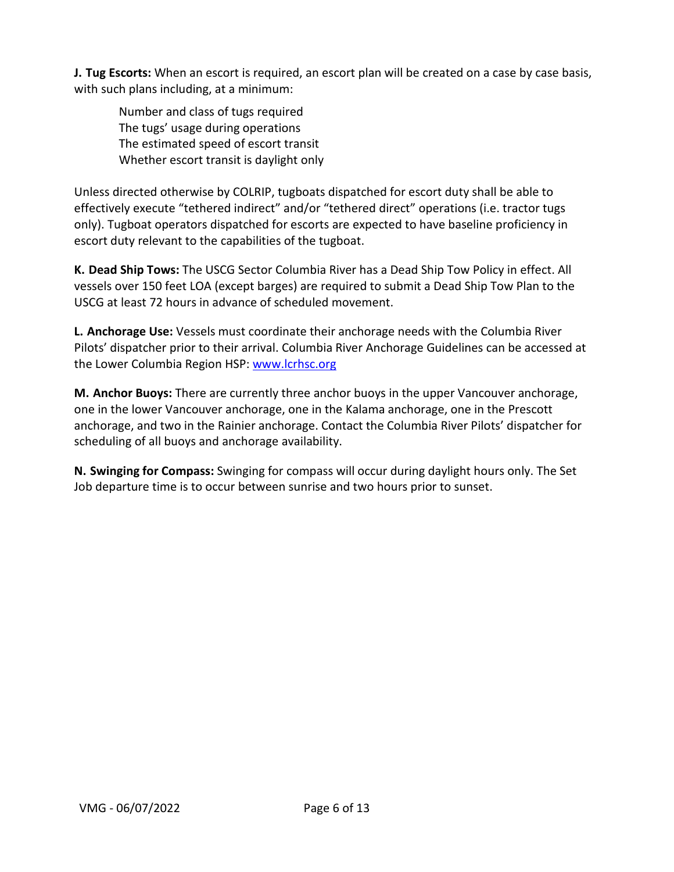<span id="page-5-0"></span>**J. Tug Escorts:** When an escort is required, an escort plan will be created on a case by case basis, with such plans including, at a minimum:

 Number and class of tugs required The tugs' usage during operations The estimated speed of escort transit Whether escort transit is daylight only

Unless directed otherwise by COLRIP, tugboats dispatched for escort duty shall be able to effectively execute "tethered indirect" and/or "tethered direct" operations (i.e. tractor tugs only). Tugboat operators dispatched for escorts are expected to have baseline proficiency in escort duty relevant to the capabilities of the tugboat.

<span id="page-5-1"></span>**K. Dead Ship Tows:** The USCG Sector Columbia River has a Dead Ship Tow Policy in effect. All vessels over 150 feet LOA (except barges) are required to submit a Dead Ship Tow Plan to the USCG at least 72 hours in advance of scheduled movement.

<span id="page-5-2"></span>**L. Anchorage Use:** Vessels must coordinate their anchorage needs with the Columbia River Pilots' dispatcher prior to their arrival. Columbia River Anchorage Guidelines can be accessed at the Lower Columbia Region HSP: [www.lcrhsc.org](http://www.lcrhsc.org/)

<span id="page-5-3"></span>**M. Anchor Buoys:** There are currently three anchor buoys in the upper Vancouver anchorage, one in the lower Vancouver anchorage, one in the Kalama anchorage, one in the Prescott anchorage, and two in the Rainier anchorage. Contact the Columbia River Pilots' dispatcher for scheduling of all buoys and anchorage availability.

<span id="page-5-4"></span>**N. Swinging for Compass:** Swinging for compass will occur during daylight hours only. The Set Job departure time is to occur between sunrise and two hours prior to sunset.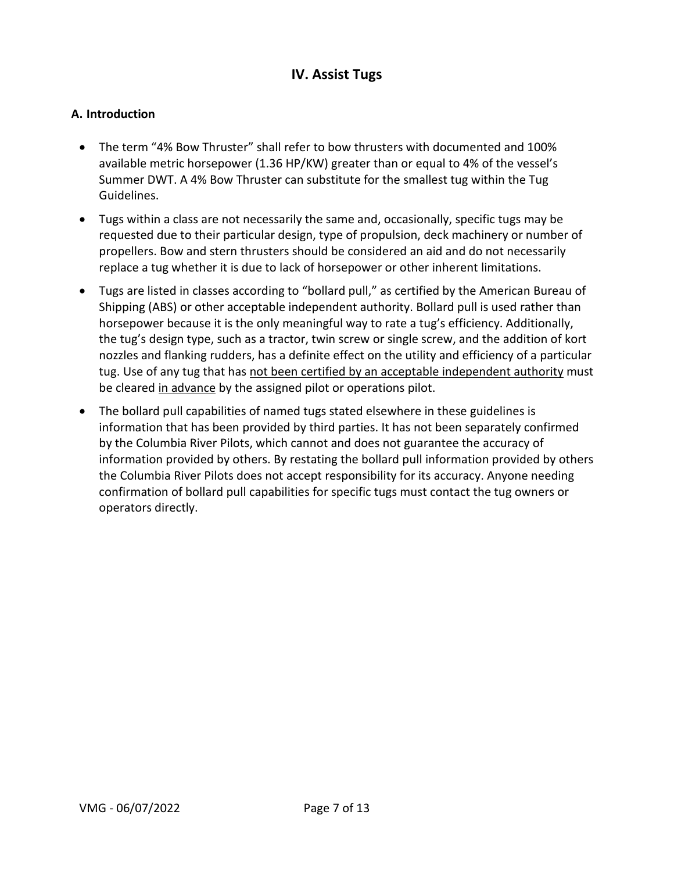# **IV. Assist Tugs**

# <span id="page-6-1"></span><span id="page-6-0"></span>**A. Introduction**

- The term "4% Bow Thruster" shall refer to bow thrusters with documented and 100% available metric horsepower (1.36 HP/KW) greater than or equal to 4% of the vessel's Summer DWT. A 4% Bow Thruster can substitute for the smallest tug within the Tug Guidelines.
- Tugs within a class are not necessarily the same and, occasionally, specific tugs may be requested due to their particular design, type of propulsion, deck machinery or number of propellers. Bow and stern thrusters should be considered an aid and do not necessarily replace a tug whether it is due to lack of horsepower or other inherent limitations.
- Tugs are listed in classes according to "bollard pull," as certified by the American Bureau of Shipping (ABS) or other acceptable independent authority. Bollard pull is used rather than horsepower because it is the only meaningful way to rate a tug's efficiency. Additionally, the tug's design type, such as a tractor, twin screw or single screw, and the addition of kort nozzles and flanking rudders, has a definite effect on the utility and efficiency of a particular tug. Use of any tug that has not been certified by an acceptable independent authority must be cleared in advance by the assigned pilot or operations pilot.
- The bollard pull capabilities of named tugs stated elsewhere in these guidelines is information that has been provided by third parties. It has not been separately confirmed by the Columbia River Pilots, which cannot and does not guarantee the accuracy of information provided by others. By restating the bollard pull information provided by others the Columbia River Pilots does not accept responsibility for its accuracy. Anyone needing confirmation of bollard pull capabilities for specific tugs must contact the tug owners or operators directly.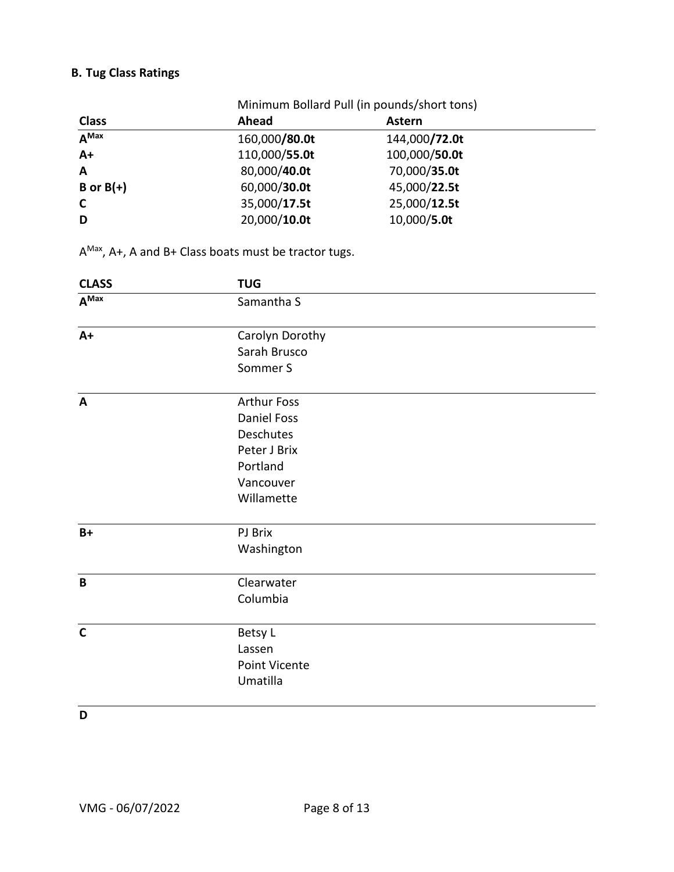# <span id="page-7-0"></span>**B. Tug Class Ratings**

|                      | Minimum Bollard Pull (in pounds/short tons) |               |  |  |  |
|----------------------|---------------------------------------------|---------------|--|--|--|
| <b>Class</b>         | Ahead                                       | Astern        |  |  |  |
| $\overline{A^{Max}}$ | 160,000/80.0t                               | 144,000/72.0t |  |  |  |
| $A+$                 | 110,000/55.0t                               | 100,000/50.0t |  |  |  |
| A                    | 80,000/40.0t                                | 70,000/35.0t  |  |  |  |
| B or $B(+)$          | 60,000/30.0t                                | 45,000/22.5t  |  |  |  |
| $\mathsf{C}$         | 35,000/17.5t                                | 25,000/12.5t  |  |  |  |
| D                    | 20,000/10.0t                                | 10,000/5.0t   |  |  |  |

AMax, A+, A and B+ Class boats must be tractor tugs.

| <b>CLASS</b> | <b>TUG</b>         |  |
|--------------|--------------------|--|
| $A^{Max}$    | Samantha S         |  |
| $A+$         | Carolyn Dorothy    |  |
|              | Sarah Brusco       |  |
|              | Sommer S           |  |
| $\mathbf{A}$ | <b>Arthur Foss</b> |  |
|              | <b>Daniel Foss</b> |  |
|              | Deschutes          |  |
|              | Peter J Brix       |  |
|              | Portland           |  |
|              | Vancouver          |  |
|              | Willamette         |  |
| $B+$         | PJ Brix            |  |
|              | Washington         |  |
| $\mathbf B$  | Clearwater         |  |
|              | Columbia           |  |
| $\mathbf c$  | Betsy L            |  |
|              | Lassen             |  |
|              | Point Vicente      |  |
|              | Umatilla           |  |
|              |                    |  |

**D**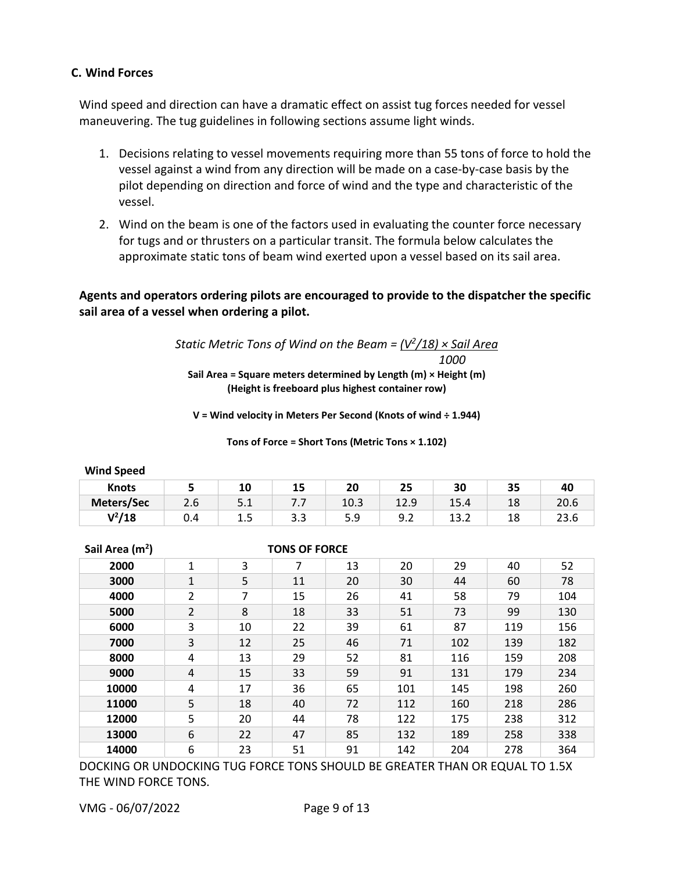# <span id="page-8-0"></span>**C. Wind Forces**

Wind speed and direction can have a dramatic effect on assist tug forces needed for vessel maneuvering. The tug guidelines in following sections assume light winds.

- 1. Decisions relating to vessel movements requiring more than 55 tons of force to hold the vessel against a wind from any direction will be made on a case-by-case basis by the pilot depending on direction and force of wind and the type and characteristic of the vessel.
- 2. Wind on the beam is one of the factors used in evaluating the counter force necessary for tugs and or thrusters on a particular transit. The formula below calculates the approximate static tons of beam wind exerted upon a vessel based on its sail area.

# **Agents and operators ordering pilots are encouraged to provide to the dispatcher the specific sail area of a vessel when ordering a pilot.**

*Static Metric Tons of Wind on the Beam = (V2/18) × Sail Area 1000* **Sail Area = Square meters determined by Length (m) × Height (m) (Height is freeboard plus highest container row)**

**V = Wind velocity in Meters Per Second (Knots of wind ÷ 1.944)**

**Tons of Force = Short Tons (Metric Tons × 1.102)**

| <b>Wind Speed</b> |     |     |                     |      |      |      |    |      |
|-------------------|-----|-----|---------------------|------|------|------|----|------|
| <b>Knots</b>      |     | 10  | 15                  | 20   | 25   | 30   | 35 | 40   |
| Meters/Sec        | 2.6 | 5.1 | $\cdot$ . $\cdot$ . | 10.3 | 12.9 | 15.4 | 18 | 20.6 |
| $V^2/18$          | 0.4 | 1.5 | 3.3                 | 5.9  | 9.2  | 13.2 | 18 | 23.6 |

 **Sail Area (m2**

**) TONS OF FORCE**

| $341$ and $111$ |                | ו טווט טו ויט ני |    |    |     |     |     |     |
|-----------------|----------------|------------------|----|----|-----|-----|-----|-----|
| 2000            | 1              | 3                | 7  | 13 | 20  | 29  | 40  | 52  |
| 3000            | 1              | 5                | 11 | 20 | 30  | 44  | 60  | 78  |
| 4000            | $\overline{2}$ | 7                | 15 | 26 | 41  | 58  | 79  | 104 |
| 5000            | $\overline{2}$ | 8                | 18 | 33 | 51  | 73  | 99  | 130 |
| 6000            | 3              | 10               | 22 | 39 | 61  | 87  | 119 | 156 |
| 7000            | 3              | 12               | 25 | 46 | 71  | 102 | 139 | 182 |
| 8000            | 4              | 13               | 29 | 52 | 81  | 116 | 159 | 208 |
| 9000            | 4              | 15               | 33 | 59 | 91  | 131 | 179 | 234 |
| 10000           | 4              | 17               | 36 | 65 | 101 | 145 | 198 | 260 |
| 11000           | 5              | 18               | 40 | 72 | 112 | 160 | 218 | 286 |
| 12000           | 5              | 20               | 44 | 78 | 122 | 175 | 238 | 312 |
| 13000           | 6              | 22               | 47 | 85 | 132 | 189 | 258 | 338 |
| 14000           | 6              | 23               | 51 | 91 | 142 | 204 | 278 | 364 |

DOCKING OR UNDOCKING TUG FORCE TONS SHOULD BE GREATER THAN OR EQUAL TO 1.5X THE WIND FORCE TONS.

VMG - 06/07/2022 Page 9 of 13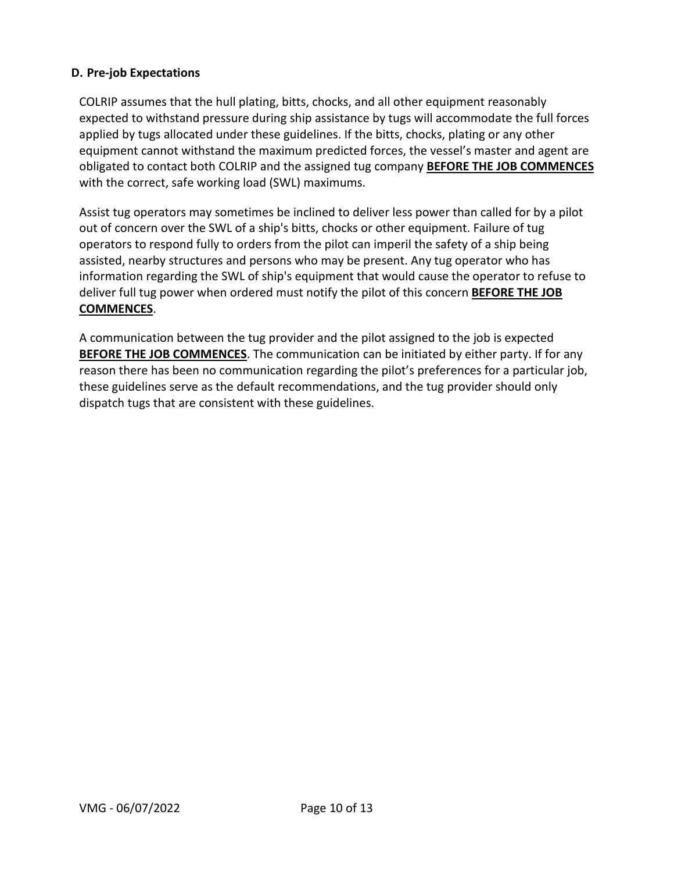# <span id="page-9-0"></span>**D. Pre-job Expectations**

COLRIP assumes that the hull plating, bitts, chocks, and all other equipment reasonably expected to withstand pressure during ship assistance by tugs will accommodate the full forces applied by tugs allocated under these guidelines. If the bitts, chocks, plating or any other equipment cannot withstand the maximum predicted forces, the vessel's master and agent are obligated to contact both COLRIP and the assigned tug company **BEFORE THE JOB COMMENCES** with the correct, safe working load (SWL) maximums.

Assist tug operators may sometimes be inclined to deliver less power than called for by a pilot out of concern over the SWL of a ship's bitts, chocks or other equipment. Failure of tug operators to respond fully to orders from the pilot can imperil the safety of a ship being assisted, nearby structures and persons who may be present. Any tug operator who has information regarding the SWL of ship's equipment that would cause the operator to refuse to deliver full tug power when ordered must notify the pilot of this concern **BEFORE THE JOB COMMENCES**.

A communication between the tug provider and the pilot assigned to the job is expected **BEFORE THE JOB COMMENCES**. The communication can be initiated by either party. If for any reason there has been no communication regarding the pilot's preferences for a particular job, these guidelines serve as the default recommendations, and the tug provider should only dispatch tugs that are consistent with these guidelines.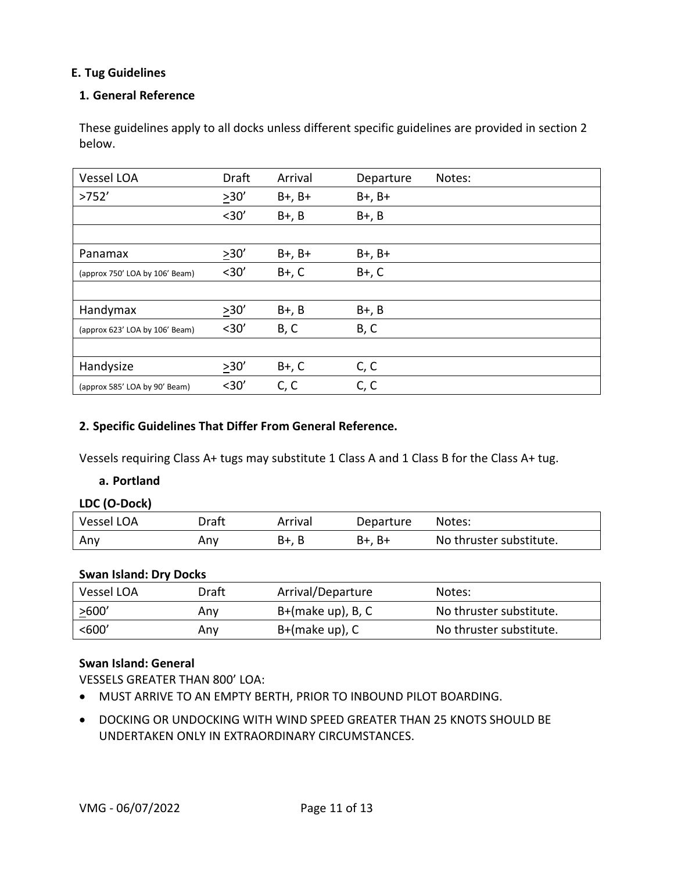# <span id="page-10-0"></span>**E. Tug Guidelines**

## <span id="page-10-1"></span>**1. General Reference**

These guidelines apply to all docks unless different specific guidelines are provided in section 2 below.

| Vessel LOA                     | Draft  | Arrival     | Departure   | Notes: |
|--------------------------------|--------|-------------|-------------|--------|
| >752'                          | $>30'$ | $B+$ , $B+$ | $B+$ , $B+$ |        |
|                                | $30'$  | $B+$ , $B$  | $B+$ , $B$  |        |
|                                |        |             |             |        |
| Panamax                        | >30'   | $B+$ , $B+$ | $B+$ , $B+$ |        |
| (approx 750' LOA by 106' Beam) | $30'$  | $B+$ , $C$  | $B+$ , $C$  |        |
|                                |        |             |             |        |
| Handymax                       | 230'   | $B+$ , $B$  | $B+$ , $B$  |        |
| (approx 623' LOA by 106' Beam) | $30'$  | B, C        | B, C        |        |
|                                |        |             |             |        |
| Handysize                      | 230'   | $B+$ , $C$  | C, C        |        |
| (approx 585' LOA by 90' Beam)  | $30'$  | C, C        | C, C        |        |

#### <span id="page-10-2"></span>**2. Specific Guidelines That Differ From General Reference.**

<span id="page-10-3"></span>Vessels requiring Class A+ tugs may substitute 1 Class A and 1 Class B for the Class A+ tug.

#### **a. Portland**

#### **LDC (O-Dock)**

| Vessel LOA | Draft | Arrival | Departure | Notes:                  |
|------------|-------|---------|-----------|-------------------------|
| Any        | Anv   | B+. B   | B+, B+    | No thruster substitute. |

#### **Swan Island: Dry Docks**

| Vessel LOA | Draft | Arrival/Departure    | Notes:                  |
|------------|-------|----------------------|-------------------------|
| >600'      | Any   | $B+(make up)$ , B, C | No thruster substitute. |
| $600'$     | Anv   | B+(make up), C       | No thruster substitute. |

# **Swan Island: General**

VESSELS GREATER THAN 800' LOA:

- MUST ARRIVE TO AN EMPTY BERTH, PRIOR TO INBOUND PILOT BOARDING.
- DOCKING OR UNDOCKING WITH WIND SPEED GREATER THAN 25 KNOTS SHOULD BE UNDERTAKEN ONLY IN EXTRAORDINARY CIRCUMSTANCES.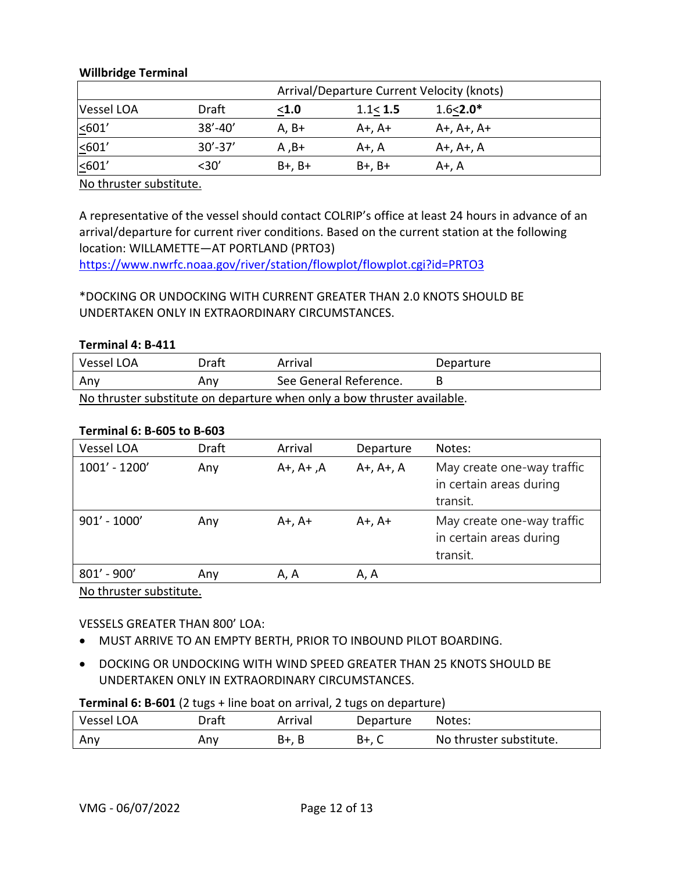# **Willbridge Terminal**

|             | Arrival/Departure Current Velocity (knots) |             |             |                    |  |  |
|-------------|--------------------------------------------|-------------|-------------|--------------------|--|--|
| Vessel LOA  | Draft                                      | $1.0$       | 1.1 < 1.5   | $1.6 < 2.0*$       |  |  |
| $\leq 601'$ | $38' - 40'$                                | $A. B+$     | A+, A+      | $A+$ , $A+$ , $A+$ |  |  |
| $\leq 601'$ | $30' - 37'$                                | A .B+       | A+, A       | A+, A+, A          |  |  |
| $\leq 601'$ | <30′                                       | $B+$ , $B+$ | $B+$ , $B+$ | A+. A              |  |  |

No thruster substitute.

A representative of the vessel should contact COLRIP's office at least 24 hours in advance of an arrival/departure for current river conditions. Based on the current station at the following location: WILLAMETTE—AT PORTLAND (PRTO3)

<https://www.nwrfc.noaa.gov/river/station/flowplot/flowplot.cgi?id=PRTO3>

# \*DOCKING OR UNDOCKING WITH CURRENT GREATER THAN 2.0 KNOTS SHOULD BE UNDERTAKEN ONLY IN EXTRAORDINARY CIRCUMSTANCES.

# **Terminal 4: B-411**

| Vessel LOA                                                             | Draft | Arrival                | Departure |  |  |
|------------------------------------------------------------------------|-------|------------------------|-----------|--|--|
| Any                                                                    | Any   | See General Reference. |           |  |  |
| No thruster substitute on denarture when only a how thruster available |       |                        |           |  |  |

<u>Thruster substitute on departure when only a bow thruster available.</u>

# **Terminal 6: B-605 to B-603**

| Vessel LOA      | <b>Draft</b> | Arrival           | Departure         | Notes:                                                            |
|-----------------|--------------|-------------------|-------------------|-------------------------------------------------------------------|
| $1001' - 1200'$ | Any          | $A+$ , $A+$ , $A$ | $A+$ , $A+$ , $A$ | May create one-way traffic<br>in certain areas during<br>transit. |
| $901' - 1000'$  | Any          | $A+$ , $A+$       | $A+$ , $A+$       | May create one-way traffic<br>in certain areas during<br>transit. |
| $801' - 900'$   | Any          | A, A              | A, A              |                                                                   |

No thruster substitute.

# VESSELS GREATER THAN 800' LOA:

- MUST ARRIVE TO AN EMPTY BERTH, PRIOR TO INBOUND PILOT BOARDING.
- DOCKING OR UNDOCKING WITH WIND SPEED GREATER THAN 25 KNOTS SHOULD BE UNDERTAKEN ONLY IN EXTRAORDINARY CIRCUMSTANCES.

# **Terminal 6: B-601** (2 tugs + line boat on arrival, 2 tugs on departure)

| Vessel LOA | Draft | Arrival  | Departure | Notes:                  |
|------------|-------|----------|-----------|-------------------------|
| Anv        | Any   | B<br>B+. | B+        | No thruster substitute. |